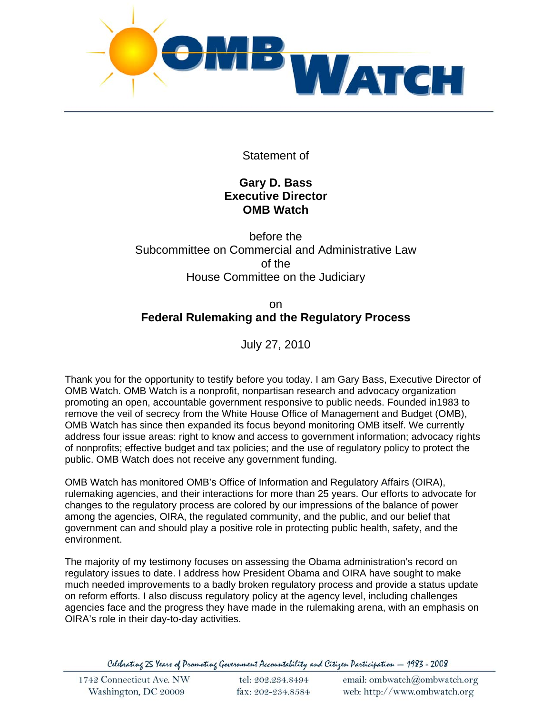

Statement of

## **Gary D. Bass Executive Director OMB Watch**

# before the Subcommittee on Commercial and Administrative Law of the House Committee on the Judiciary

# on **Federal Rulemaking and the Regulatory Process**

July 27, 2010

Thank you for the opportunity to testify before you today. I am Gary Bass, Executive Director of OMB Watch. OMB Watch is a nonprofit, nonpartisan research and advocacy organization promoting an open, accountable government responsive to public needs. Founded in1983 to remove the veil of secrecy from the White House Office of Management and Budget (OMB), OMB Watch has since then expanded its focus beyond monitoring OMB itself. We currently address four issue areas: right to know and access to government information; advocacy rights of nonprofits; effective budget and tax policies; and the use of regulatory policy to protect the public. OMB Watch does not receive any government funding.

OMB Watch has monitored OMB's Office of Information and Regulatory Affairs (OIRA), rulemaking agencies, and their interactions for more than 25 years. Our efforts to advocate for changes to the regulatory process are colored by our impressions of the balance of power among the agencies, OIRA, the regulated community, and the public, and our belief that government can and should play a positive role in protecting public health, safety, and the environment.

The majority of my testimony focuses on assessing the Obama administration's record on regulatory issues to date. I address how President Obama and OIRA have sought to make much needed improvements to a badly broken regulatory process and provide a status update on reform efforts. I also discuss regulatory policy at the agency level, including challenges agencies face and the progress they have made in the rulemaking arena, with an emphasis on OIRA's role in their day-to-day activities.

Celebrating 25 Years of Promoting Government Accountability and Citizen Participation - 1983 - 2008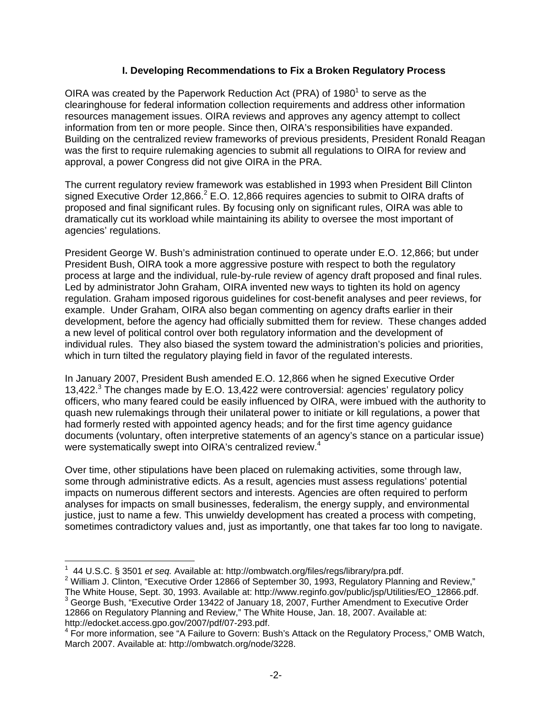## **I. Developing Recommendations to Fix a Broken Regulatory Process**

OIRA was created by the Paperwork Reduction Act (PRA) of 1980<sup>1</sup> to serve as the clearinghouse for federal information collection requirements and address other information resources management issues. OIRA reviews and approves any agency attempt to collect information from ten or more people. Since then, OIRA's responsibilities have expanded. Building on the centralized review frameworks of previous presidents, President Ronald Reagan was the first to require rulemaking agencies to submit all regulations to OIRA for review and approval, a power Congress did not give OIRA in the PRA.

The current regulatory review framework was established in 1993 when President Bill Clinton signed Executive Order 12,866.<sup>2</sup> E.O. 12,866 requires agencies to submit to OIRA drafts of proposed and final significant rules. By focusing only on significant rules, OIRA was able to dramatically cut its workload while maintaining its ability to oversee the most important of agencies' regulations.

President George W. Bush's administration continued to operate under E.O. 12,866; but under President Bush, OIRA took a more aggressive posture with respect to both the regulatory process at large and the individual, rule-by-rule review of agency draft proposed and final rules. Led by administrator John Graham, OIRA invented new ways to tighten its hold on agency regulation. Graham imposed rigorous guidelines for cost-benefit analyses and peer reviews, for example. Under Graham, OIRA also began commenting on agency drafts earlier in their development, before the agency had officially submitted them for review. These changes added a new level of political control over both regulatory information and the development of individual rules. They also biased the system toward the administration's policies and priorities, which in turn tilted the regulatory playing field in favor of the regulated interests.

In January 2007, President Bush amended E.O. 12,866 when he signed Executive Order 13,422.<sup>3</sup> The changes made by E.O. 13,422 were controversial: agencies' regulatory policy officers, who many feared could be easily influenced by OIRA, were imbued with the authority to quash new rulemakings through their unilateral power to initiate or kill regulations, a power that had formerly rested with appointed agency heads; and for the first time agency guidance documents (voluntary, often interpretive statements of an agency's stance on a particular issue) were systematically swept into OIRA's centralized review.<sup>4</sup>

Over time, other stipulations have been placed on rulemaking activities, some through law, some through administrative edicts. As a result, agencies must assess regulations' potential impacts on numerous different sectors and interests. Agencies are often required to perform analyses for impacts on small businesses, federalism, the energy supply, and environmental justice, just to name a few. This unwieldy development has created a process with competing, sometimes contradictory values and, just as importantly, one that takes far too long to navigate.

<sup>1</sup> 44 U.S.C. § 3501 *et seq.* Available at: http://ombwatch.org/files/regs/library/pra.pdf. 2

<sup>&</sup>lt;sup>2</sup> William J. Clinton, "Executive Order 12866 of September 30, 1993, Regulatory Planning and Review," The White House, Sept. 30, 1993. Available at: http://www.reginfo.gov/public/jsp/Utilities/EO\_12866.pdf. 3

<sup>&</sup>lt;sup>3</sup> George Bush, "Executive Order 13422 of January 18, 2007, Further Amendment to Executive Order 12866 on Regulatory Planning and Review," The White House, Jan. 18, 2007. Available at: http://edocket.access.gpo.gov/2007/pdf/07-293.pdf. 4

<sup>&</sup>lt;sup>4</sup> For more information, see "A Failure to Govern: Bush's Attack on the Regulatory Process," OMB Watch, March 2007. Available at: http://ombwatch.org/node/3228.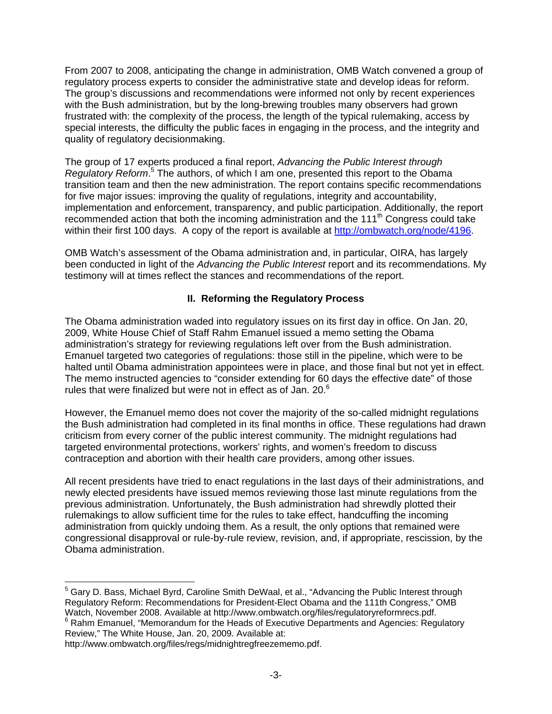From 2007 to 2008, anticipating the change in administration, OMB Watch convened a group of regulatory process experts to consider the administrative state and develop ideas for reform. The group's discussions and recommendations were informed not only by recent experiences with the Bush administration, but by the long-brewing troubles many observers had grown frustrated with: the complexity of the process, the length of the typical rulemaking, access by special interests, the difficulty the public faces in engaging in the process, and the integrity and quality of regulatory decisionmaking.

The group of 17 experts produced a final report, *Advancing the Public Interest through*  Regulatory Reform.<sup>5</sup> The authors, of which I am one, presented this report to the Obama transition team and then the new administration. The report contains specific recommendations for five major issues: improving the quality of regulations, integrity and accountability, implementation and enforcement, transparency, and public participation. Additionally, the report recommended action that both the incoming administration and the 111th Congress could take within their first 100 days. A copy of the report is available at http://ombwatch.org/node/4196.

OMB Watch's assessment of the Obama administration and, in particular, OIRA, has largely been conducted in light of the *Advancing the Public Interest* report and its recommendations. My testimony will at times reflect the stances and recommendations of the report.

#### **II. Reforming the Regulatory Process**

The Obama administration waded into regulatory issues on its first day in office. On Jan. 20, 2009, White House Chief of Staff Rahm Emanuel issued a memo setting the Obama administration's strategy for reviewing regulations left over from the Bush administration. Emanuel targeted two categories of regulations: those still in the pipeline, which were to be halted until Obama administration appointees were in place, and those final but not yet in effect. The memo instructed agencies to "consider extending for 60 days the effective date" of those rules that were finalized but were not in effect as of Jan. 20. $^6$ 

However, the Emanuel memo does not cover the majority of the so-called midnight regulations the Bush administration had completed in its final months in office. These regulations had drawn criticism from every corner of the public interest community. The midnight regulations had targeted environmental protections, workers' rights, and women's freedom to discuss contraception and abortion with their health care providers, among other issues.

All recent presidents have tried to enact regulations in the last days of their administrations, and newly elected presidents have issued memos reviewing those last minute regulations from the previous administration. Unfortunately, the Bush administration had shrewdly plotted their rulemakings to allow sufficient time for the rules to take effect, handcuffing the incoming administration from quickly undoing them. As a result, the only options that remained were congressional disapproval or rule-by-rule review, revision, and, if appropriate, rescission, by the Obama administration.

 $\overline{a}$  $^5$  Gary D. Bass, Michael Byrd, Caroline Smith DeWaal, et al., "Advancing the Public Interest through Regulatory Reform: Recommendations for President-Elect Obama and the 111th Congress," OMB Watch, November 2008. Available at http://www.ombwatch.org/files/regulatoryreformrecs.pdf. 6  $<sup>6</sup>$  Rahm Emanuel, "Memorandum for the Heads of Executive Departments and Agencies: Regulatory</sup> Review," The White House, Jan. 20, 2009. Available at:

http://www.ombwatch.org/files/regs/midnightregfreezememo.pdf.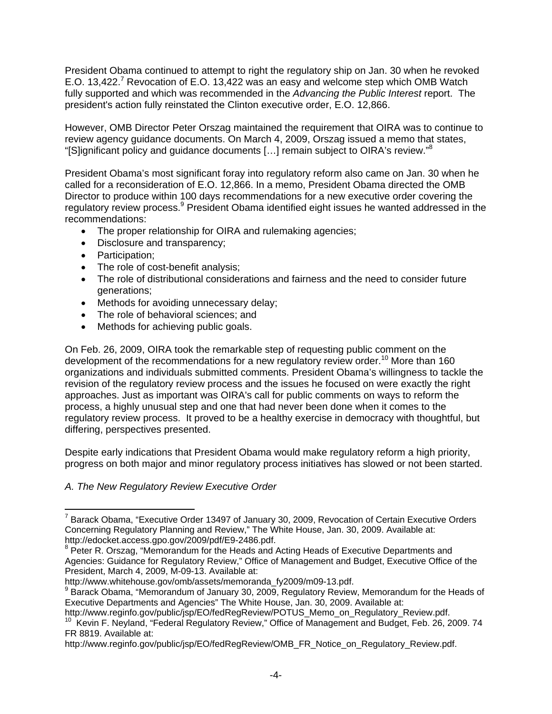President Obama continued to attempt to right the regulatory ship on Jan. 30 when he revoked E.O. 13,422.<sup>7</sup> Revocation of E.O. 13,422 was an easy and welcome step which OMB Watch fully supported and which was recommended in the *Advancing the Public Interest* report. The president's action fully reinstated the Clinton executive order, E.O. 12,866.

However, OMB Director Peter Orszag maintained the requirement that OIRA was to continue to review agency guidance documents. On March 4, 2009, Orszag issued a memo that states, "[S]ignificant policy and guidance documents  $[...]$  remain subject to OIRA's review." $8$ 

President Obama's most significant foray into regulatory reform also came on Jan. 30 when he called for a reconsideration of E.O. 12,866. In a memo, President Obama directed the OMB Director to produce within 100 days recommendations for a new executive order covering the regulatory review process.<sup>9</sup> President Obama identified eight issues he wanted addressed in the recommendations:

- The proper relationship for OIRA and rulemaking agencies;
- Disclosure and transparency;
- Participation:
- The role of cost-benefit analysis;
- The role of distributional considerations and fairness and the need to consider future generations;
- Methods for avoiding unnecessary delay;
- The role of behavioral sciences; and
- Methods for achieving public goals.

On Feb. 26, 2009, OIRA took the remarkable step of requesting public comment on the development of the recommendations for a new regulatory review order.<sup>10</sup> More than 160 organizations and individuals submitted comments. President Obama's willingness to tackle the revision of the regulatory review process and the issues he focused on were exactly the right approaches. Just as important was OIRA's call for public comments on ways to reform the process, a highly unusual step and one that had never been done when it comes to the regulatory review process. It proved to be a healthy exercise in democracy with thoughtful, but differing, perspectives presented.

Despite early indications that President Obama would make regulatory reform a high priority, progress on both major and minor regulatory process initiatives has slowed or not been started.

#### *A. The New Regulatory Review Executive Order*

 $\overline{a}$ <sup>7</sup> Barack Obama, "Executive Order 13497 of January 30, 2009, Revocation of Certain Executive Orders Concerning Regulatory Planning and Review," The White House, Jan. 30, 2009. Available at: http://edocket.access.gpo.gov/2009/pdf/E9-2486.pdf.

<sup>&</sup>lt;sup>8</sup> Peter R. Orszag, "Memorandum for the Heads and Acting Heads of Executive Departments and Agencies: Guidance for Regulatory Review," Office of Management and Budget, Executive Office of the President, March 4, 2009, M-09-13. Available at:

http://www.whitehouse.gov/omb/assets/memoranda\_fy2009/m09-13.pdf.

<sup>&</sup>lt;sup>9</sup> Barack Obama, "Memorandum of January 30, 2009, Regulatory Review, Memorandum for the Heads of Executive Departments and Agencies" The White House, Jan. 30, 2009. Available at:<br>http://www.reginfo.gov/public/jsp/EO/fedRegReview/POTUS\_Memo\_on\_Regulatory\_Review.pdf.

<sup>&</sup>lt;sup>10</sup> Kevin F. Neyland, "Federal Regulatory Review," Office of Management and Budget, Feb. 26, 2009. 74 FR 8819. Available at:

http://www.reginfo.gov/public/jsp/EO/fedRegReview/OMB\_FR\_Notice\_on\_Regulatory\_Review.pdf.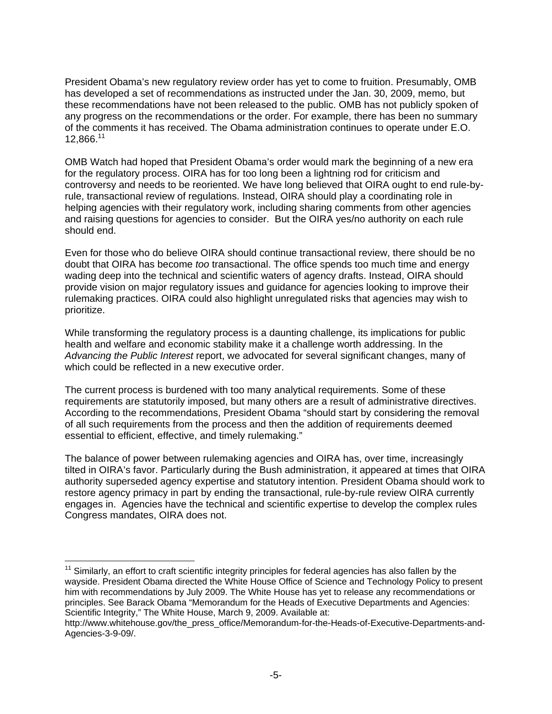President Obama's new regulatory review order has yet to come to fruition. Presumably, OMB has developed a set of recommendations as instructed under the Jan. 30, 2009, memo, but these recommendations have not been released to the public. OMB has not publicly spoken of any progress on the recommendations or the order. For example, there has been no summary of the comments it has received. The Obama administration continues to operate under E.O. 12,866.<sup>11</sup>

OMB Watch had hoped that President Obama's order would mark the beginning of a new era for the regulatory process. OIRA has for too long been a lightning rod for criticism and controversy and needs to be reoriented. We have long believed that OIRA ought to end rule-byrule, transactional review of regulations. Instead, OIRA should play a coordinating role in helping agencies with their regulatory work, including sharing comments from other agencies and raising questions for agencies to consider. But the OIRA yes/no authority on each rule should end.

Even for those who do believe OIRA should continue transactional review, there should be no doubt that OIRA has become *too* transactional. The office spends too much time and energy wading deep into the technical and scientific waters of agency drafts. Instead, OIRA should provide vision on major regulatory issues and guidance for agencies looking to improve their rulemaking practices. OIRA could also highlight unregulated risks that agencies may wish to prioritize.

While transforming the regulatory process is a daunting challenge, its implications for public health and welfare and economic stability make it a challenge worth addressing. In the *Advancing the Public Interest* report, we advocated for several significant changes, many of which could be reflected in a new executive order.

The current process is burdened with too many analytical requirements. Some of these requirements are statutorily imposed, but many others are a result of administrative directives. According to the recommendations, President Obama "should start by considering the removal of all such requirements from the process and then the addition of requirements deemed essential to efficient, effective, and timely rulemaking."

The balance of power between rulemaking agencies and OIRA has, over time, increasingly tilted in OIRA's favor. Particularly during the Bush administration, it appeared at times that OIRA authority superseded agency expertise and statutory intention. President Obama should work to restore agency primacy in part by ending the transactional, rule-by-rule review OIRA currently engages in. Agencies have the technical and scientific expertise to develop the complex rules Congress mandates, OIRA does not.

 $11$  Similarly, an effort to craft scientific integrity principles for federal agencies has also fallen by the wayside. President Obama directed the White House Office of Science and Technology Policy to present him with recommendations by July 2009. The White House has yet to release any recommendations or principles. See Barack Obama "Memorandum for the Heads of Executive Departments and Agencies: Scientific Integrity," The White House, March 9, 2009. Available at:

http://www.whitehouse.gov/the\_press\_office/Memorandum-for-the-Heads-of-Executive-Departments-and-Agencies-3-9-09/.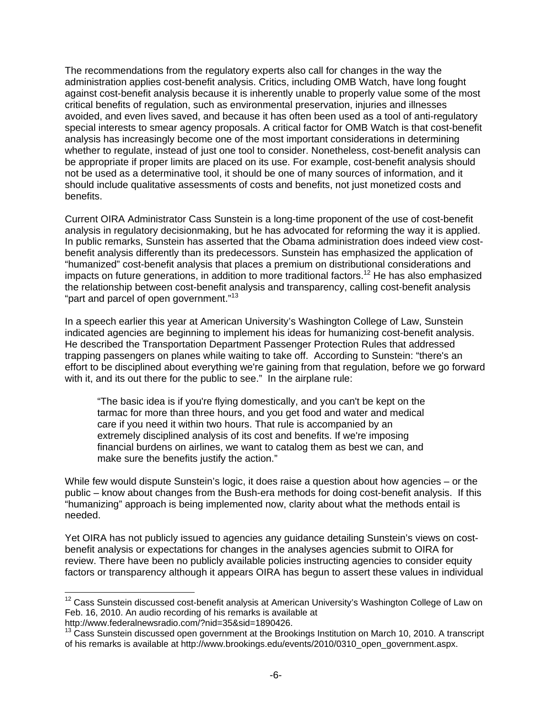The recommendations from the regulatory experts also call for changes in the way the administration applies cost-benefit analysis. Critics, including OMB Watch, have long fought against cost-benefit analysis because it is inherently unable to properly value some of the most critical benefits of regulation, such as environmental preservation, injuries and illnesses avoided, and even lives saved, and because it has often been used as a tool of anti-regulatory special interests to smear agency proposals. A critical factor for OMB Watch is that cost-benefit analysis has increasingly become one of the most important considerations in determining whether to regulate, instead of just one tool to consider. Nonetheless, cost-benefit analysis can be appropriate if proper limits are placed on its use. For example, cost-benefit analysis should not be used as a determinative tool, it should be one of many sources of information, and it should include qualitative assessments of costs and benefits, not just monetized costs and benefits.

Current OIRA Administrator Cass Sunstein is a long-time proponent of the use of cost-benefit analysis in regulatory decisionmaking, but he has advocated for reforming the way it is applied. In public remarks, Sunstein has asserted that the Obama administration does indeed view costbenefit analysis differently than its predecessors. Sunstein has emphasized the application of "humanized" cost-benefit analysis that places a premium on distributional considerations and impacts on future generations, in addition to more traditional factors.<sup>12</sup> He has also emphasized the relationship between cost-benefit analysis and transparency, calling cost-benefit analysis "part and parcel of open government."<sup>13</sup>

In a speech earlier this year at American University's Washington College of Law, Sunstein indicated agencies are beginning to implement his ideas for humanizing cost-benefit analysis. He described the Transportation Department Passenger Protection Rules that addressed trapping passengers on planes while waiting to take off. According to Sunstein: "there's an effort to be disciplined about everything we're gaining from that regulation, before we go forward with it, and its out there for the public to see." In the airplane rule:

"The basic idea is if you're flying domestically, and you can't be kept on the tarmac for more than three hours, and you get food and water and medical care if you need it within two hours. That rule is accompanied by an extremely disciplined analysis of its cost and benefits. If we're imposing financial burdens on airlines, we want to catalog them as best we can, and make sure the benefits justify the action."

While few would dispute Sunstein's logic, it does raise a question about how agencies – or the public – know about changes from the Bush-era methods for doing cost-benefit analysis. If this "humanizing" approach is being implemented now, clarity about what the methods entail is needed.

Yet OIRA has not publicly issued to agencies any guidance detailing Sunstein's views on costbenefit analysis or expectations for changes in the analyses agencies submit to OIRA for review. There have been no publicly available policies instructing agencies to consider equity factors or transparency although it appears OIRA has begun to assert these values in individual

 $12$  Cass Sunstein discussed cost-benefit analysis at American University's Washington College of Law on Feb. 16, 2010. An audio recording of his remarks is available at

http://www.federalnewsradio.com/?nid=35&sid=1890426.

<sup>13</sup> Cass Sunstein discussed open government at the Brookings Institution on March 10, 2010. A transcript of his remarks is available at http://www.brookings.edu/events/2010/0310\_open\_government.aspx.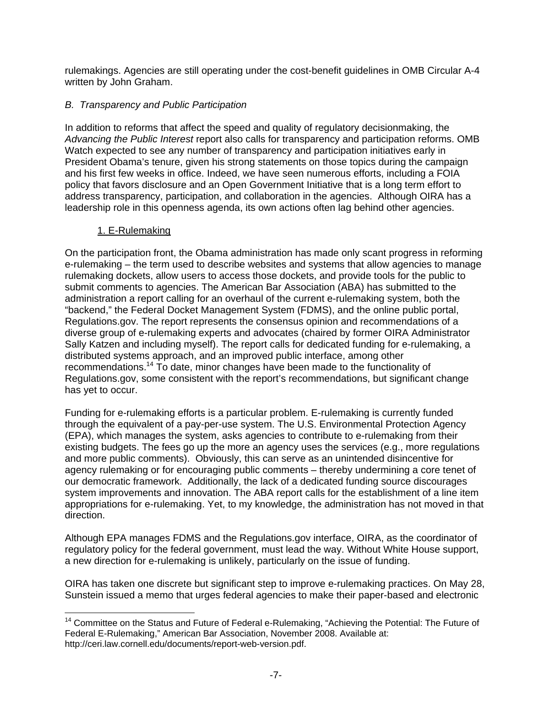rulemakings. Agencies are still operating under the cost-benefit guidelines in OMB Circular A-4 written by John Graham.

### *B. Transparency and Public Participation*

In addition to reforms that affect the speed and quality of regulatory decisionmaking, the *Advancing the Public Interest* report also calls for transparency and participation reforms. OMB Watch expected to see any number of transparency and participation initiatives early in President Obama's tenure, given his strong statements on those topics during the campaign and his first few weeks in office. Indeed, we have seen numerous efforts, including a FOIA policy that favors disclosure and an Open Government Initiative that is a long term effort to address transparency, participation, and collaboration in the agencies. Although OIRA has a leadership role in this openness agenda, its own actions often lag behind other agencies.

#### 1. E-Rulemaking

On the participation front, the Obama administration has made only scant progress in reforming e-rulemaking – the term used to describe websites and systems that allow agencies to manage rulemaking dockets, allow users to access those dockets, and provide tools for the public to submit comments to agencies. The American Bar Association (ABA) has submitted to the administration a report calling for an overhaul of the current e-rulemaking system, both the "backend," the Federal Docket Management System (FDMS), and the online public portal, Regulations.gov. The report represents the consensus opinion and recommendations of a diverse group of e-rulemaking experts and advocates (chaired by former OIRA Administrator Sally Katzen and including myself). The report calls for dedicated funding for e-rulemaking, a distributed systems approach, and an improved public interface, among other recommendations.14 To date, minor changes have been made to the functionality of Regulations.gov, some consistent with the report's recommendations, but significant change has yet to occur.

Funding for e-rulemaking efforts is a particular problem. E-rulemaking is currently funded through the equivalent of a pay-per-use system. The U.S. Environmental Protection Agency (EPA), which manages the system, asks agencies to contribute to e-rulemaking from their existing budgets. The fees go up the more an agency uses the services (e.g., more regulations and more public comments). Obviously, this can serve as an unintended disincentive for agency rulemaking or for encouraging public comments – thereby undermining a core tenet of our democratic framework. Additionally, the lack of a dedicated funding source discourages system improvements and innovation. The ABA report calls for the establishment of a line item appropriations for e-rulemaking. Yet, to my knowledge, the administration has not moved in that direction.

Although EPA manages FDMS and the Regulations.gov interface, OIRA, as the coordinator of regulatory policy for the federal government, must lead the way. Without White House support, a new direction for e-rulemaking is unlikely, particularly on the issue of funding.

OIRA has taken one discrete but significant step to improve e-rulemaking practices. On May 28, Sunstein issued a memo that urges federal agencies to make their paper-based and electronic

 $\overline{a}$ <sup>14</sup> Committee on the Status and Future of Federal e-Rulemaking, "Achieving the Potential: The Future of Federal E-Rulemaking," American Bar Association, November 2008. Available at: http://ceri.law.cornell.edu/documents/report-web-version.pdf.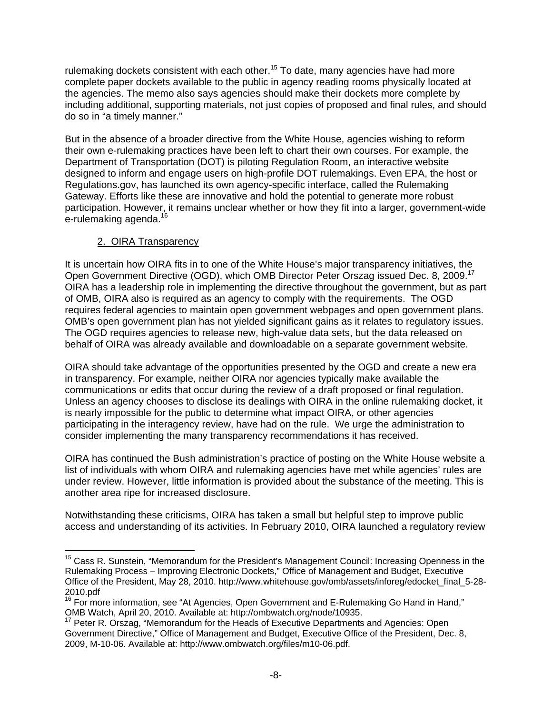rulemaking dockets consistent with each other.<sup>15</sup> To date, many agencies have had more complete paper dockets available to the public in agency reading rooms physically located at the agencies. The memo also says agencies should make their dockets more complete by including additional, supporting materials, not just copies of proposed and final rules, and should do so in "a timely manner."

But in the absence of a broader directive from the White House, agencies wishing to reform their own e-rulemaking practices have been left to chart their own courses. For example, the Department of Transportation (DOT) is piloting Regulation Room, an interactive website designed to inform and engage users on high-profile DOT rulemakings. Even EPA, the host or Regulations.gov, has launched its own agency-specific interface, called the Rulemaking Gateway. Efforts like these are innovative and hold the potential to generate more robust participation. However, it remains unclear whether or how they fit into a larger, government-wide e-rulemaking agenda.<sup>16</sup>

## 2. OIRA Transparency

It is uncertain how OIRA fits in to one of the White House's major transparency initiatives, the Open Government Directive (OGD), which OMB Director Peter Orszag issued Dec. 8, 2009.<sup>17</sup> OIRA has a leadership role in implementing the directive throughout the government, but as part of OMB, OIRA also is required as an agency to comply with the requirements. The OGD requires federal agencies to maintain open government webpages and open government plans. OMB's open government plan has not yielded significant gains as it relates to regulatory issues. The OGD requires agencies to release new, high-value data sets, but the data released on behalf of OIRA was already available and downloadable on a separate government website.

OIRA should take advantage of the opportunities presented by the OGD and create a new era in transparency. For example, neither OIRA nor agencies typically make available the communications or edits that occur during the review of a draft proposed or final regulation. Unless an agency chooses to disclose its dealings with OIRA in the online rulemaking docket, it is nearly impossible for the public to determine what impact OIRA, or other agencies participating in the interagency review, have had on the rule. We urge the administration to consider implementing the many transparency recommendations it has received.

OIRA has continued the Bush administration's practice of posting on the White House website a list of individuals with whom OIRA and rulemaking agencies have met while agencies' rules are under review. However, little information is provided about the substance of the meeting. This is another area ripe for increased disclosure.

Notwithstanding these criticisms, OIRA has taken a small but helpful step to improve public access and understanding of its activities. In February 2010, OIRA launched a regulatory review

 $\overline{a}$ <sup>15</sup> Cass R. Sunstein, "Memorandum for the President's Management Council: Increasing Openness in the Rulemaking Process – Improving Electronic Dockets," Office of Management and Budget, Executive Office of the President, May 28, 2010. http://www.whitehouse.gov/omb/assets/inforeg/edocket\_final\_5-28- 2010.pdf

<sup>&</sup>lt;sup>16</sup> For more information, see "At Agencies, Open Government and E-Rulemaking Go Hand in Hand," OMB Watch, April 20, 2010. Available at: http://ombwatch.org/node/10935.<br><sup>17</sup> Peter R. Orszag, "Memorandum for the Heads of Executive Departments and Agencies: Open

Government Directive," Office of Management and Budget, Executive Office of the President, Dec. 8, 2009, M-10-06. Available at: http://www.ombwatch.org/files/m10-06.pdf.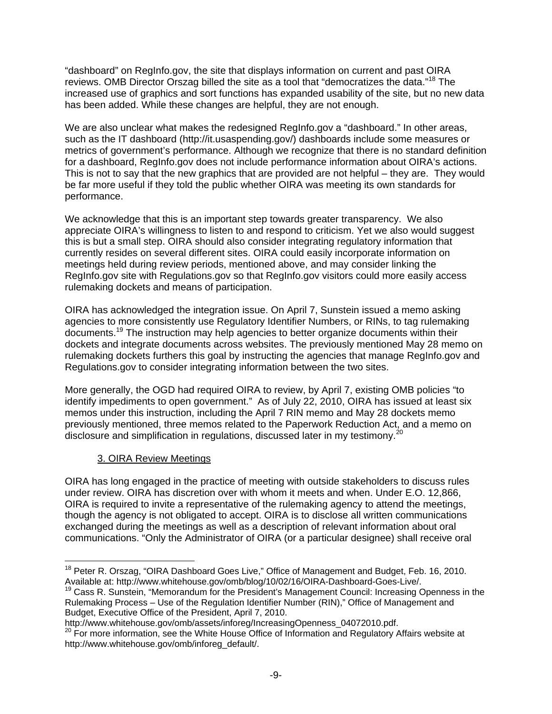"dashboard" on RegInfo.gov, the site that displays information on current and past OIRA reviews. OMB Director Orszag billed the site as a tool that "democratizes the data."<sup>18</sup> The increased use of graphics and sort functions has expanded usability of the site, but no new data has been added. While these changes are helpful, they are not enough.

We are also unclear what makes the redesigned RegInfo.gov a "dashboard." In other areas, such as the IT dashboard (http://it.usaspending.gov/) dashboards include some measures or metrics of government's performance. Although we recognize that there is no standard definition for a dashboard, RegInfo.gov does not include performance information about OIRA's actions. This is not to say that the new graphics that are provided are not helpful – they are. They would be far more useful if they told the public whether OIRA was meeting its own standards for performance.

We acknowledge that this is an important step towards greater transparency. We also appreciate OIRA's willingness to listen to and respond to criticism. Yet we also would suggest this is but a small step. OIRA should also consider integrating regulatory information that currently resides on several different sites. OIRA could easily incorporate information on meetings held during review periods, mentioned above, and may consider linking the RegInfo.gov site with Regulations.gov so that RegInfo.gov visitors could more easily access rulemaking dockets and means of participation.

OIRA has acknowledged the integration issue. On April 7, Sunstein issued a memo asking agencies to more consistently use Regulatory Identifier Numbers, or RINs, to tag rulemaking documents.19 The instruction may help agencies to better organize documents within their dockets and integrate documents across websites. The previously mentioned May 28 memo on rulemaking dockets furthers this goal by instructing the agencies that manage RegInfo.gov and Regulations.gov to consider integrating information between the two sites.

More generally, the OGD had required OIRA to review, by April 7, existing OMB policies "to identify impediments to open government." As of July 22, 2010, OIRA has issued at least six memos under this instruction, including the April 7 RIN memo and May 28 dockets memo previously mentioned, three memos related to the Paperwork Reduction Act, and a memo on disclosure and simplification in regulations, discussed later in my testimony.<sup>20</sup>

## 3. OIRA Review Meetings

OIRA has long engaged in the practice of meeting with outside stakeholders to discuss rules under review. OIRA has discretion over with whom it meets and when. Under E.O. 12,866, OIRA is required to invite a representative of the rulemaking agency to attend the meetings, though the agency is not obligated to accept. OIRA is to disclose all written communications exchanged during the meetings as well as a description of relevant information about oral communications. "Only the Administrator of OIRA (or a particular designee) shall receive oral

 $\overline{a}$ <sup>18</sup> Peter R. Orszag, "OIRA Dashboard Goes Live," Office of Management and Budget, Feb. 16, 2010. Available at: http://www.whitehouse.gov/omb/blog/10/02/16/OIRA-Dashboard-Goes-Live/.<br><sup>19</sup> Cass R. Sunstein, "Memorandum for the President's Management Council: Increasing Openness in the

Rulemaking Process – Use of the Regulation Identifier Number (RIN)," Office of Management and Budget, Executive Office of the President, April 7, 2010.<br>http://www.whitehouse.gov/omb/assets/inforeg/IncreasingOpenness 04072010.pdf.

http://www.wests.gov/omb/assets/increasing.com<br><sup>20</sup> For more information, see the White House Office of Information and Regulatory Affairs website at http://www.whitehouse.gov/omb/inforeg\_default/.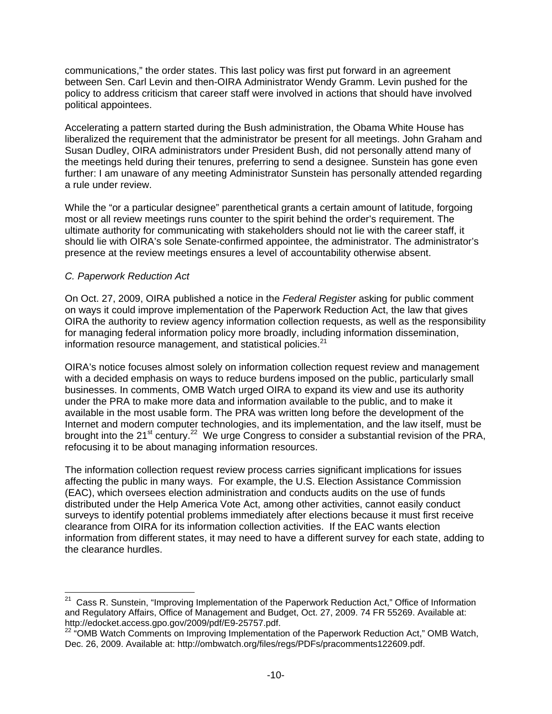communications," the order states. This last policy was first put forward in an agreement between Sen. Carl Levin and then-OIRA Administrator Wendy Gramm. Levin pushed for the policy to address criticism that career staff were involved in actions that should have involved political appointees.

Accelerating a pattern started during the Bush administration, the Obama White House has liberalized the requirement that the administrator be present for all meetings. John Graham and Susan Dudley, OIRA administrators under President Bush, did not personally attend many of the meetings held during their tenures, preferring to send a designee. Sunstein has gone even further: I am unaware of any meeting Administrator Sunstein has personally attended regarding a rule under review.

While the "or a particular designee" parenthetical grants a certain amount of latitude, forgoing most or all review meetings runs counter to the spirit behind the order's requirement. The ultimate authority for communicating with stakeholders should not lie with the career staff, it should lie with OIRA's sole Senate-confirmed appointee, the administrator. The administrator's presence at the review meetings ensures a level of accountability otherwise absent.

#### *C. Paperwork Reduction Act*

 $\overline{a}$ 

On Oct. 27, 2009, OIRA published a notice in the *Federal Register* asking for public comment on ways it could improve implementation of the Paperwork Reduction Act, the law that gives OIRA the authority to review agency information collection requests, as well as the responsibility for managing federal information policy more broadly, including information dissemination, information resource management, and statistical policies. $21$ 

OIRA's notice focuses almost solely on information collection request review and management with a decided emphasis on ways to reduce burdens imposed on the public, particularly small businesses. In comments, OMB Watch urged OIRA to expand its view and use its authority under the PRA to make more data and information available to the public, and to make it available in the most usable form. The PRA was written long before the development of the Internet and modern computer technologies, and its implementation, and the law itself, must be brought into the 21 $\mathrm{^{st}}$  century.<sup>22</sup> We urge Congress to consider a substantial revision of the PRA, refocusing it to be about managing information resources.

The information collection request review process carries significant implications for issues affecting the public in many ways. For example, the U.S. Election Assistance Commission (EAC), which oversees election administration and conducts audits on the use of funds distributed under the Help America Vote Act, among other activities, cannot easily conduct surveys to identify potential problems immediately after elections because it must first receive clearance from OIRA for its information collection activities. If the EAC wants election information from different states, it may need to have a different survey for each state, adding to the clearance hurdles.

<sup>&</sup>lt;sup>21</sup> Cass R. Sunstein, "Improving Implementation of the Paperwork Reduction Act," Office of Information and Regulatory Affairs, Office of Management and Budget, Oct. 27, 2009. 74 FR 55269. Available at: http://edocket.access.gpo.gov/2009/pdf/E9-25757.pdf.

<sup>22 &</sup>quot;OMB Watch Comments on Improving Implementation of the Paperwork Reduction Act," OMB Watch, Dec. 26, 2009. Available at: http://ombwatch.org/files/regs/PDFs/pracomments122609.pdf.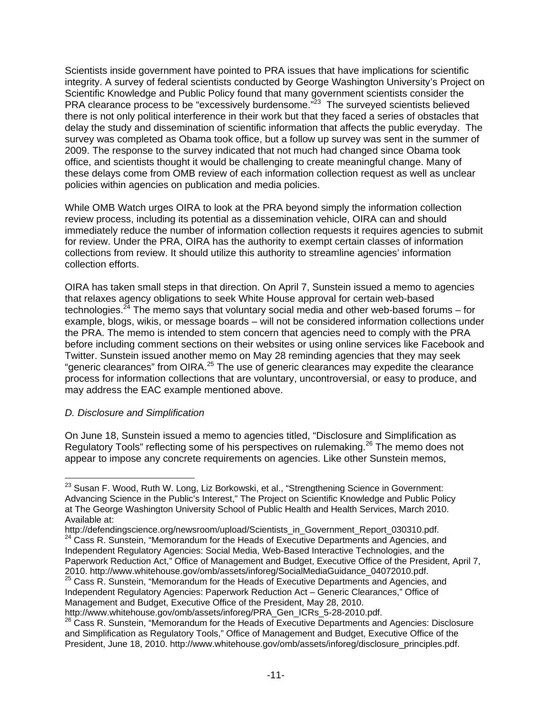Scientists inside government have pointed to PRA issues that have implications for scientific integrity. A survey of federal scientists conducted by George Washington University's Project on Scientific Knowledge and Public Policy found that many government scientists consider the PRA clearance process to be "excessively burdensome."<sup>23</sup> The surveyed scientists believed there is not only political interference in their work but that they faced a series of obstacles that delay the study and dissemination of scientific information that affects the public everyday. The survey was completed as Obama took office, but a follow up survey was sent in the summer of 2009. The response to the survey indicated that not much had changed since Obama took office, and scientists thought it would be challenging to create meaningful change. Many of these delays come from OMB review of each information collection request as well as unclear policies within agencies on publication and media policies.

While OMB Watch urges OIRA to look at the PRA beyond simply the information collection review process, including its potential as a dissemination vehicle, OIRA can and should immediately reduce the number of information collection requests it requires agencies to submit for review. Under the PRA, OIRA has the authority to exempt certain classes of information collections from review. It should utilize this authority to streamline agencies' information collection efforts.

OIRA has taken small steps in that direction. On April 7, Sunstein issued a memo to agencies that relaxes agency obligations to seek White House approval for certain web-based technologies.<sup>24</sup> The memo says that voluntary social media and other web-based forums – for example, blogs, wikis, or message boards – will not be considered information collections under the PRA. The memo is intended to stem concern that agencies need to comply with the PRA before including comment sections on their websites or using online services like Facebook and Twitter. Sunstein issued another memo on May 28 reminding agencies that they may seek "generic clearances" from OIRA.25 The use of generic clearances may expedite the clearance process for information collections that are voluntary, uncontroversial, or easy to produce, and may address the EAC example mentioned above.

#### *D. Disclosure and Simplification*

On June 18, Sunstein issued a memo to agencies titled, "Disclosure and Simplification as Regulatory Tools" reflecting some of his perspectives on rulemaking.<sup>26</sup> The memo does not appear to impose any concrete requirements on agencies. Like other Sunstein memos,

 $\overline{a}$  $^{23}$  Susan F. Wood, Ruth W. Long, Liz Borkowski, et al., "Strengthening Science in Government: Advancing Science in the Public's Interest," The Project on Scientific Knowledge and Public Policy at The George Washington University School of Public Health and Health Services, March 2010. Available at:<br>http://defendingscience.org/newsroom/upload/Scientists in Government Report 030310.pdf.

<sup>&</sup>lt;sup>24</sup> Cass R. Sunstein, "Memorandum for the Heads of Executive Departments and Agencies, and Independent Regulatory Agencies: Social Media, Web-Based Interactive Technologies, and the Paperwork Reduction Act," Office of Management and Budget, Executive Office of the President, April 7, 2010. http://www.whitehouse.gov/omb/assets/inforeg/SocialMediaGuidance\_04072010.pdf.<br><sup>25</sup> Cass R. Sunstein, "Memorandum for the Heads of Executive Departments and Agencies, and

Independent Regulatory Agencies: Paperwork Reduction Act – Generic Clearances," Office of Management and Budget, Executive Office of the President, May 28, 2010.

http://www.whitehouse.gov/omb/assets/inforeg/PRA\_Gen\_ICRs\_5-28-2010.pdf.

<sup>&</sup>lt;sup>26</sup> Cass R. Sunstein, "Memorandum for the Heads of Executive Departments and Agencies: Disclosure and Simplification as Regulatory Tools," Office of Management and Budget, Executive Office of the President, June 18, 2010. http://www.whitehouse.gov/omb/assets/inforeg/disclosure\_principles.pdf.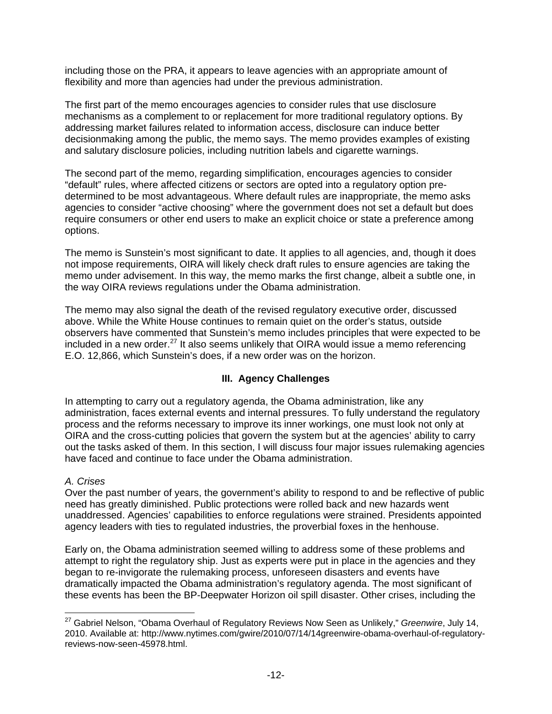including those on the PRA, it appears to leave agencies with an appropriate amount of flexibility and more than agencies had under the previous administration.

The first part of the memo encourages agencies to consider rules that use disclosure mechanisms as a complement to or replacement for more traditional regulatory options. By addressing market failures related to information access, disclosure can induce better decisionmaking among the public, the memo says. The memo provides examples of existing and salutary disclosure policies, including nutrition labels and cigarette warnings.

The second part of the memo, regarding simplification, encourages agencies to consider "default" rules, where affected citizens or sectors are opted into a regulatory option predetermined to be most advantageous. Where default rules are inappropriate, the memo asks agencies to consider "active choosing" where the government does not set a default but does require consumers or other end users to make an explicit choice or state a preference among options.

The memo is Sunstein's most significant to date. It applies to all agencies, and, though it does not impose requirements, OIRA will likely check draft rules to ensure agencies are taking the memo under advisement. In this way, the memo marks the first change, albeit a subtle one, in the way OIRA reviews regulations under the Obama administration.

The memo may also signal the death of the revised regulatory executive order, discussed above. While the White House continues to remain quiet on the order's status, outside observers have commented that Sunstein's memo includes principles that were expected to be included in a new order. $^{27}$  It also seems unlikely that OIRA would issue a memo referencing E.O. 12,866, which Sunstein's does, if a new order was on the horizon.

## **III. Agency Challenges**

In attempting to carry out a regulatory agenda, the Obama administration, like any administration, faces external events and internal pressures. To fully understand the regulatory process and the reforms necessary to improve its inner workings, one must look not only at OIRA and the cross-cutting policies that govern the system but at the agencies' ability to carry out the tasks asked of them. In this section, I will discuss four major issues rulemaking agencies have faced and continue to face under the Obama administration.

#### *A. Crises*

Over the past number of years, the government's ability to respond to and be reflective of public need has greatly diminished. Public protections were rolled back and new hazards went unaddressed. Agencies' capabilities to enforce regulations were strained. Presidents appointed agency leaders with ties to regulated industries, the proverbial foxes in the henhouse.

Early on, the Obama administration seemed willing to address some of these problems and attempt to right the regulatory ship. Just as experts were put in place in the agencies and they began to re-invigorate the rulemaking process, unforeseen disasters and events have dramatically impacted the Obama administration's regulatory agenda. The most significant of these events has been the BP-Deepwater Horizon oil spill disaster. Other crises, including the

 $\overline{a}$ 27 Gabriel Nelson, "Obama Overhaul of Regulatory Reviews Now Seen as Unlikely," *Greenwire*, July 14, 2010. Available at: http://www.nytimes.com/gwire/2010/07/14/14greenwire-obama-overhaul-of-regulatoryreviews-now-seen-45978.html.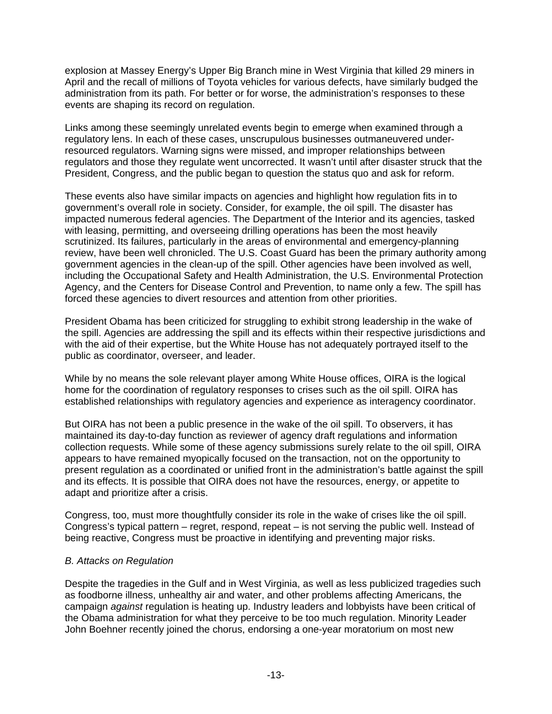explosion at Massey Energy's Upper Big Branch mine in West Virginia that killed 29 miners in April and the recall of millions of Toyota vehicles for various defects, have similarly budged the administration from its path. For better or for worse, the administration's responses to these events are shaping its record on regulation.

Links among these seemingly unrelated events begin to emerge when examined through a regulatory lens. In each of these cases, unscrupulous businesses outmaneuvered underresourced regulators. Warning signs were missed, and improper relationships between regulators and those they regulate went uncorrected. It wasn't until after disaster struck that the President, Congress, and the public began to question the status quo and ask for reform.

These events also have similar impacts on agencies and highlight how regulation fits in to government's overall role in society. Consider, for example, the oil spill. The disaster has impacted numerous federal agencies. The Department of the Interior and its agencies, tasked with leasing, permitting, and overseeing drilling operations has been the most heavily scrutinized. Its failures, particularly in the areas of environmental and emergency-planning review, have been well chronicled. The U.S. Coast Guard has been the primary authority among government agencies in the clean-up of the spill. Other agencies have been involved as well, including the Occupational Safety and Health Administration, the U.S. Environmental Protection Agency, and the Centers for Disease Control and Prevention, to name only a few. The spill has forced these agencies to divert resources and attention from other priorities.

President Obama has been criticized for struggling to exhibit strong leadership in the wake of the spill. Agencies are addressing the spill and its effects within their respective jurisdictions and with the aid of their expertise, but the White House has not adequately portrayed itself to the public as coordinator, overseer, and leader.

While by no means the sole relevant player among White House offices, OIRA is the logical home for the coordination of regulatory responses to crises such as the oil spill. OIRA has established relationships with regulatory agencies and experience as interagency coordinator.

But OIRA has not been a public presence in the wake of the oil spill. To observers, it has maintained its day-to-day function as reviewer of agency draft regulations and information collection requests. While some of these agency submissions surely relate to the oil spill, OIRA appears to have remained myopically focused on the transaction, not on the opportunity to present regulation as a coordinated or unified front in the administration's battle against the spill and its effects. It is possible that OIRA does not have the resources, energy, or appetite to adapt and prioritize after a crisis.

Congress, too, must more thoughtfully consider its role in the wake of crises like the oil spill. Congress's typical pattern – regret, respond, repeat – is not serving the public well. Instead of being reactive, Congress must be proactive in identifying and preventing major risks.

#### *B. Attacks on Regulation*

Despite the tragedies in the Gulf and in West Virginia, as well as less publicized tragedies such as foodborne illness, unhealthy air and water, and other problems affecting Americans, the campaign *against* regulation is heating up. Industry leaders and lobbyists have been critical of the Obama administration for what they perceive to be too much regulation. Minority Leader John Boehner recently joined the chorus, endorsing a one-year moratorium on most new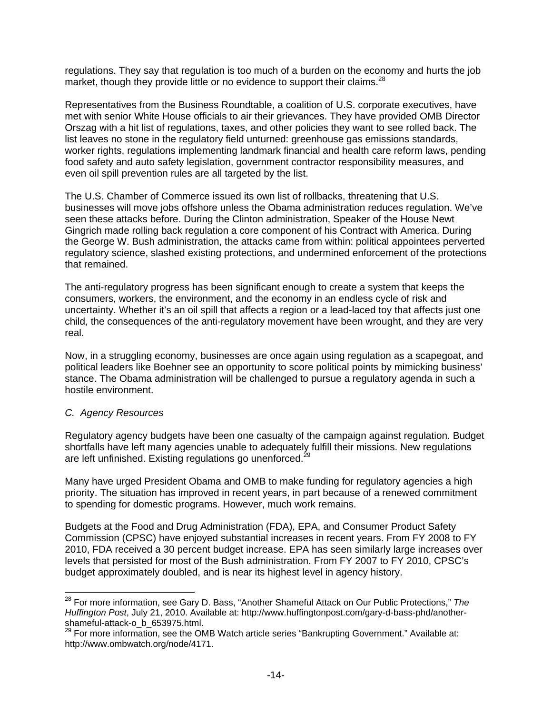regulations. They say that regulation is too much of a burden on the economy and hurts the job market, though they provide little or no evidence to support their claims.<sup>28</sup>

Representatives from the Business Roundtable, a coalition of U.S. corporate executives, have met with senior White House officials to air their grievances. They have provided OMB Director Orszag with a hit list of regulations, taxes, and other policies they want to see rolled back. The list leaves no stone in the regulatory field unturned: greenhouse gas emissions standards, worker rights, regulations implementing landmark financial and health care reform laws, pending food safety and auto safety legislation, government contractor responsibility measures, and even oil spill prevention rules are all targeted by the list.

The U.S. Chamber of Commerce issued its own list of rollbacks, threatening that U.S. businesses will move jobs offshore unless the Obama administration reduces regulation. We've seen these attacks before. During the Clinton administration, Speaker of the House Newt Gingrich made rolling back regulation a core component of his Contract with America. During the George W. Bush administration, the attacks came from within: political appointees perverted regulatory science, slashed existing protections, and undermined enforcement of the protections that remained.

The anti-regulatory progress has been significant enough to create a system that keeps the consumers, workers, the environment, and the economy in an endless cycle of risk and uncertainty. Whether it's an oil spill that affects a region or a lead-laced toy that affects just one child, the consequences of the anti-regulatory movement have been wrought, and they are very real.

Now, in a struggling economy, businesses are once again using regulation as a scapegoat, and political leaders like Boehner see an opportunity to score political points by mimicking business' stance. The Obama administration will be challenged to pursue a regulatory agenda in such a hostile environment.

#### *C. Agency Resources*

 $\overline{a}$ 

Regulatory agency budgets have been one casualty of the campaign against regulation. Budget shortfalls have left many agencies unable to adequately fulfill their missions. New regulations are left unfinished. Existing regulations go unenforced.<sup>29</sup>

Many have urged President Obama and OMB to make funding for regulatory agencies a high priority. The situation has improved in recent years, in part because of a renewed commitment to spending for domestic programs. However, much work remains.

Budgets at the Food and Drug Administration (FDA), EPA, and Consumer Product Safety Commission (CPSC) have enjoyed substantial increases in recent years. From FY 2008 to FY 2010, FDA received a 30 percent budget increase. EPA has seen similarly large increases over levels that persisted for most of the Bush administration. From FY 2007 to FY 2010, CPSC's budget approximately doubled, and is near its highest level in agency history.

<sup>28</sup> For more information, see Gary D. Bass, "Another Shameful Attack on Our Public Protections," *The Huffington Post*, July 21, 2010. Available at: http://www.huffingtonpost.com/gary-d-bass-phd/anothershameful-attack-o\_b\_653975.html.

<sup>&</sup>lt;sup>29</sup> For more information, see the OMB Watch article series "Bankrupting Government." Available at: http://www.ombwatch.org/node/4171.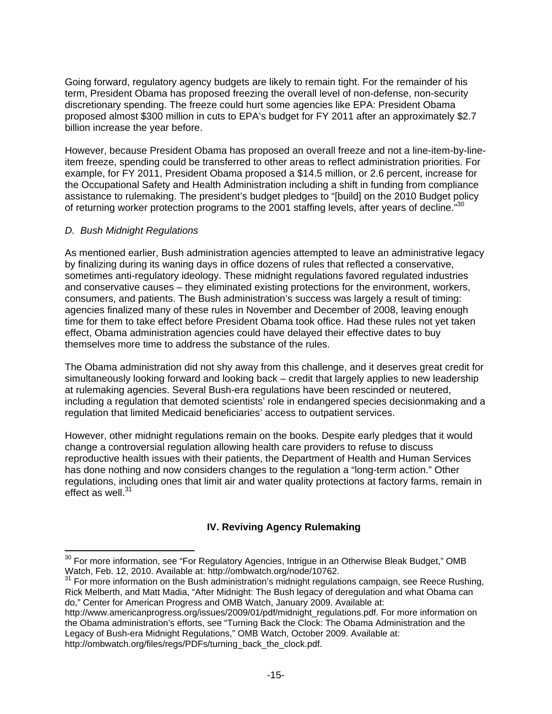Going forward, regulatory agency budgets are likely to remain tight. For the remainder of his term, President Obama has proposed freezing the overall level of non-defense, non-security discretionary spending. The freeze could hurt some agencies like EPA: President Obama proposed almost \$300 million in cuts to EPA's budget for FY 2011 after an approximately \$2.7 billion increase the year before.

However, because President Obama has proposed an overall freeze and not a line-item-by-lineitem freeze, spending could be transferred to other areas to reflect administration priorities. For example, for FY 2011, President Obama proposed a \$14.5 million, or 2.6 percent, increase for the Occupational Safety and Health Administration including a shift in funding from compliance assistance to rulemaking. The president's budget pledges to "[build] on the 2010 Budget policy of returning worker protection programs to the 2001 staffing levels, after years of decline."<sup>30</sup>

#### *D. Bush Midnight Regulations*

 $\overline{a}$ 

As mentioned earlier, Bush administration agencies attempted to leave an administrative legacy by finalizing during its waning days in office dozens of rules that reflected a conservative, sometimes anti-regulatory ideology. These midnight regulations favored regulated industries and conservative causes – they eliminated existing protections for the environment, workers, consumers, and patients. The Bush administration's success was largely a result of timing: agencies finalized many of these rules in November and December of 2008, leaving enough time for them to take effect before President Obama took office. Had these rules not yet taken effect, Obama administration agencies could have delayed their effective dates to buy themselves more time to address the substance of the rules.

The Obama administration did not shy away from this challenge, and it deserves great credit for simultaneously looking forward and looking back – credit that largely applies to new leadership at rulemaking agencies. Several Bush-era regulations have been rescinded or neutered, including a regulation that demoted scientists' role in endangered species decisionmaking and a regulation that limited Medicaid beneficiaries' access to outpatient services.

However, other midnight regulations remain on the books. Despite early pledges that it would change a controversial regulation allowing health care providers to refuse to discuss reproductive health issues with their patients, the Department of Health and Human Services has done nothing and now considers changes to the regulation a "long-term action." Other regulations, including ones that limit air and water quality protections at factory farms, remain in effect as well. $31$ 

## **IV. Reviving Agency Rulemaking**

 $30$  For more information, see "For Regulatory Agencies, Intrigue in an Otherwise Bleak Budget," OMB Watch, Caliform Watch, Combatch, Combatch, Combatch, Combatch, Combatch, Combatch, Combatch, Combatch, Combatch, Combatc

<sup>&</sup>lt;sup>31</sup> For more information on the Bush administration's midnight regulations campaign, see Reece Rushing, Rick Melberth, and Matt Madia, "After Midnight: The Bush legacy of deregulation and what Obama can do," Center for American Progress and OMB Watch, January 2009. Available at:

http://www.americanprogress.org/issues/2009/01/pdf/midnight\_regulations.pdf. For more information on the Obama administration's efforts, see "Turning Back the Clock: The Obama Administration and the Legacy of Bush-era Midnight Regulations," OMB Watch, October 2009. Available at: http://ombwatch.org/files/regs/PDFs/turning\_back\_the\_clock.pdf.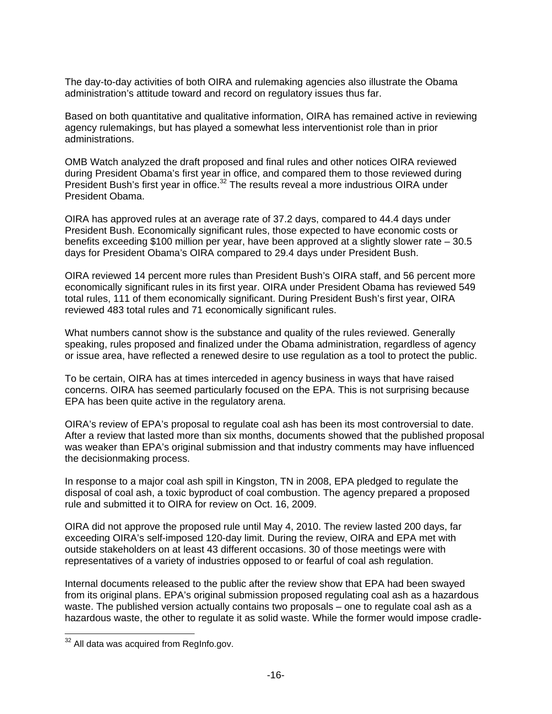The day-to-day activities of both OIRA and rulemaking agencies also illustrate the Obama administration's attitude toward and record on regulatory issues thus far.

Based on both quantitative and qualitative information, OIRA has remained active in reviewing agency rulemakings, but has played a somewhat less interventionist role than in prior administrations.

OMB Watch analyzed the draft proposed and final rules and other notices OIRA reviewed during President Obama's first year in office, and compared them to those reviewed during President Bush's first year in office.<sup>32</sup> The results reveal a more industrious OIRA under President Obama.

OIRA has approved rules at an average rate of 37.2 days, compared to 44.4 days under President Bush. Economically significant rules, those expected to have economic costs or benefits exceeding \$100 million per year, have been approved at a slightly slower rate – 30.5 days for President Obama's OIRA compared to 29.4 days under President Bush.

OIRA reviewed 14 percent more rules than President Bush's OIRA staff, and 56 percent more economically significant rules in its first year. OIRA under President Obama has reviewed 549 total rules, 111 of them economically significant. During President Bush's first year, OIRA reviewed 483 total rules and 71 economically significant rules.

What numbers cannot show is the substance and quality of the rules reviewed. Generally speaking, rules proposed and finalized under the Obama administration, regardless of agency or issue area, have reflected a renewed desire to use regulation as a tool to protect the public.

To be certain, OIRA has at times interceded in agency business in ways that have raised concerns. OIRA has seemed particularly focused on the EPA. This is not surprising because EPA has been quite active in the regulatory arena.

OIRA's review of EPA's proposal to regulate coal ash has been its most controversial to date. After a review that lasted more than six months, documents showed that the published proposal was weaker than EPA's original submission and that industry comments may have influenced the decisionmaking process.

In response to a major coal ash spill in Kingston, TN in 2008, EPA pledged to regulate the disposal of coal ash, a toxic byproduct of coal combustion. The agency prepared a proposed rule and submitted it to OIRA for review on Oct. 16, 2009.

OIRA did not approve the proposed rule until May 4, 2010. The review lasted 200 days, far exceeding OIRA's self-imposed 120-day limit. During the review, OIRA and EPA met with outside stakeholders on at least 43 different occasions. 30 of those meetings were with representatives of a variety of industries opposed to or fearful of coal ash regulation.

Internal documents released to the public after the review show that EPA had been swayed from its original plans. EPA's original submission proposed regulating coal ash as a hazardous waste. The published version actually contains two proposals – one to regulate coal ash as a hazardous waste, the other to regulate it as solid waste. While the former would impose cradle-

 $32$  All data was acquired from RegInfo.gov.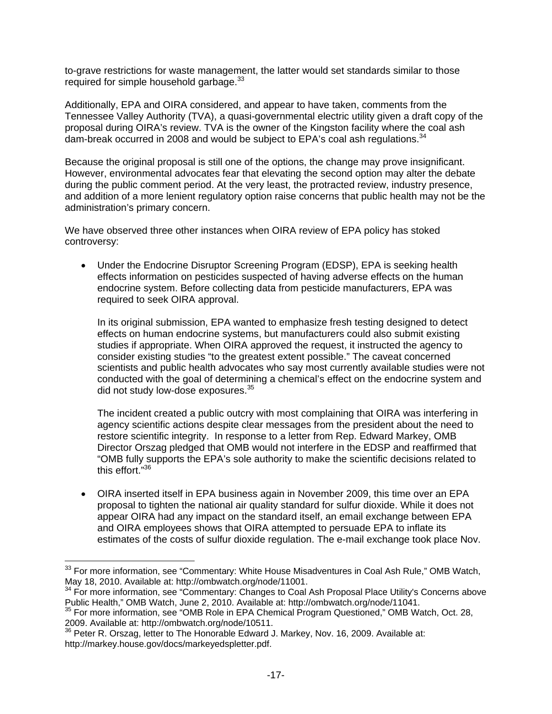to-grave restrictions for waste management, the latter would set standards similar to those required for simple household garbage.<sup>33</sup>

Additionally, EPA and OIRA considered, and appear to have taken, comments from the Tennessee Valley Authority (TVA), a quasi-governmental electric utility given a draft copy of the proposal during OIRA's review. TVA is the owner of the Kingston facility where the coal ash dam-break occurred in 2008 and would be subject to EPA's coal ash regulations.<sup>34</sup>

Because the original proposal is still one of the options, the change may prove insignificant. However, environmental advocates fear that elevating the second option may alter the debate during the public comment period. At the very least, the protracted review, industry presence, and addition of a more lenient regulatory option raise concerns that public health may not be the administration's primary concern.

We have observed three other instances when OIRA review of EPA policy has stoked controversy:

• Under the Endocrine Disruptor Screening Program (EDSP), EPA is seeking health effects information on pesticides suspected of having adverse effects on the human endocrine system. Before collecting data from pesticide manufacturers, EPA was required to seek OIRA approval.

In its original submission, EPA wanted to emphasize fresh testing designed to detect effects on human endocrine systems, but manufacturers could also submit existing studies if appropriate. When OIRA approved the request, it instructed the agency to consider existing studies "to the greatest extent possible." The caveat concerned scientists and public health advocates who say most currently available studies were not conducted with the goal of determining a chemical's effect on the endocrine system and did not study low-dose exposures.<sup>35</sup>

The incident created a public outcry with most complaining that OIRA was interfering in agency scientific actions despite clear messages from the president about the need to restore scientific integrity. In response to a letter from Rep. Edward Markey, OMB Director Orszag pledged that OMB would not interfere in the EDSP and reaffirmed that "OMB fully supports the EPA's sole authority to make the scientific decisions related to this effort."36

• OIRA inserted itself in EPA business again in November 2009, this time over an EPA proposal to tighten the national air quality standard for sulfur dioxide. While it does not appear OIRA had any impact on the standard itself, an email exchange between EPA and OIRA employees shows that OIRA attempted to persuade EPA to inflate its estimates of the costs of sulfur dioxide regulation. The e-mail exchange took place Nov.

 $33$  For more information, see "Commentary: White House Misadventures in Coal Ash Rule," OMB Watch, May 18, 2010. Available at: http://ombwatch.org/node/11001.<br><sup>34</sup> For more information, see "Commentary: Changes to Coal Ash Proposal Place Utility's Concerns above

Public Health," OMB Watch, June 2, 2010. Available at: http://ombwatch.org/node/11041.<br>35 For more information, see "OMB Role in EPA Chemical Program Questioned," OMB Watch, Oct. 28,

<sup>2009.</sup> Available at: http://ombwatch.org/node/10511.

<sup>&</sup>lt;sup>36</sup> Peter R. Orszag, letter to The Honorable Edward J. Markey, Nov. 16, 2009. Available at: http://markey.house.gov/docs/markeyedspletter.pdf.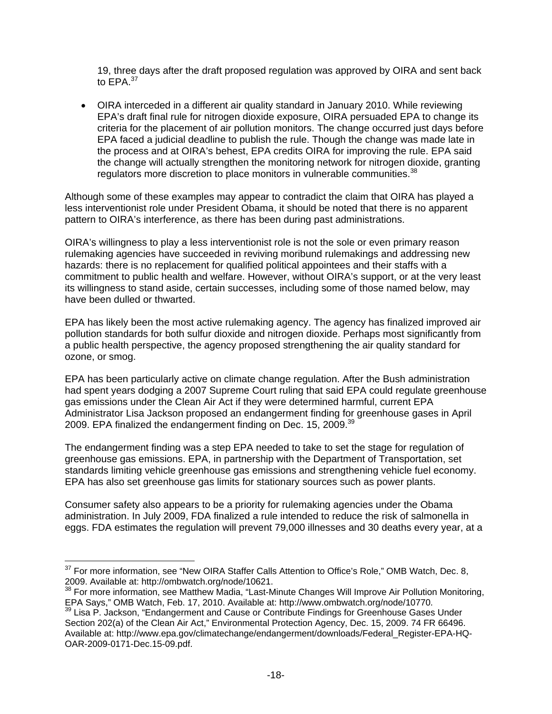19, three days after the draft proposed regulation was approved by OIRA and sent back to EPA.<sup>37</sup>

• OIRA interceded in a different air quality standard in January 2010. While reviewing EPA's draft final rule for nitrogen dioxide exposure, OIRA persuaded EPA to change its criteria for the placement of air pollution monitors. The change occurred just days before EPA faced a judicial deadline to publish the rule. Though the change was made late in the process and at OIRA's behest, EPA credits OIRA for improving the rule. EPA said the change will actually strengthen the monitoring network for nitrogen dioxide, granting regulators more discretion to place monitors in vulnerable communities. $38$ 

Although some of these examples may appear to contradict the claim that OIRA has played a less interventionist role under President Obama, it should be noted that there is no apparent pattern to OIRA's interference, as there has been during past administrations.

OIRA's willingness to play a less interventionist role is not the sole or even primary reason rulemaking agencies have succeeded in reviving moribund rulemakings and addressing new hazards: there is no replacement for qualified political appointees and their staffs with a commitment to public health and welfare. However, without OIRA's support, or at the very least its willingness to stand aside, certain successes, including some of those named below, may have been dulled or thwarted.

EPA has likely been the most active rulemaking agency. The agency has finalized improved air pollution standards for both sulfur dioxide and nitrogen dioxide. Perhaps most significantly from a public health perspective, the agency proposed strengthening the air quality standard for ozone, or smog.

EPA has been particularly active on climate change regulation. After the Bush administration had spent years dodging a 2007 Supreme Court ruling that said EPA could regulate greenhouse gas emissions under the Clean Air Act if they were determined harmful, current EPA Administrator Lisa Jackson proposed an endangerment finding for greenhouse gases in April 2009. EPA finalized the endangerment finding on Dec. 15, 2009.<sup>39</sup>

The endangerment finding was a step EPA needed to take to set the stage for regulation of greenhouse gas emissions. EPA, in partnership with the Department of Transportation, set standards limiting vehicle greenhouse gas emissions and strengthening vehicle fuel economy. EPA has also set greenhouse gas limits for stationary sources such as power plants.

Consumer safety also appears to be a priority for rulemaking agencies under the Obama administration. In July 2009, FDA finalized a rule intended to reduce the risk of salmonella in eggs. FDA estimates the regulation will prevent 79,000 illnesses and 30 deaths every year, at a

 $37$  For more information, see "New OIRA Staffer Calls Attention to Office's Role," OMB Watch, Dec. 8, 2009. Available at: http://ombwatch.org/node/10621.

<sup>&</sup>lt;sup>38</sup> For more information, see Matthew Madia, "Last-Minute Changes Will Improve Air Pollution Monitoring, EPA Says," OMB Watch, Feb. 17, 2010. Available at: http://www.ombwatch.org/node/10770.<br><sup>39</sup> Lisa P. Jackson, "Endangerment and Cause or Contribute Findings for Greenhouse Gases Under

Section 202(a) of the Clean Air Act," Environmental Protection Agency, Dec. 15, 2009. 74 FR 66496. Available at: http://www.epa.gov/climatechange/endangerment/downloads/Federal\_Register-EPA-HQ-OAR-2009-0171-Dec.15-09.pdf.